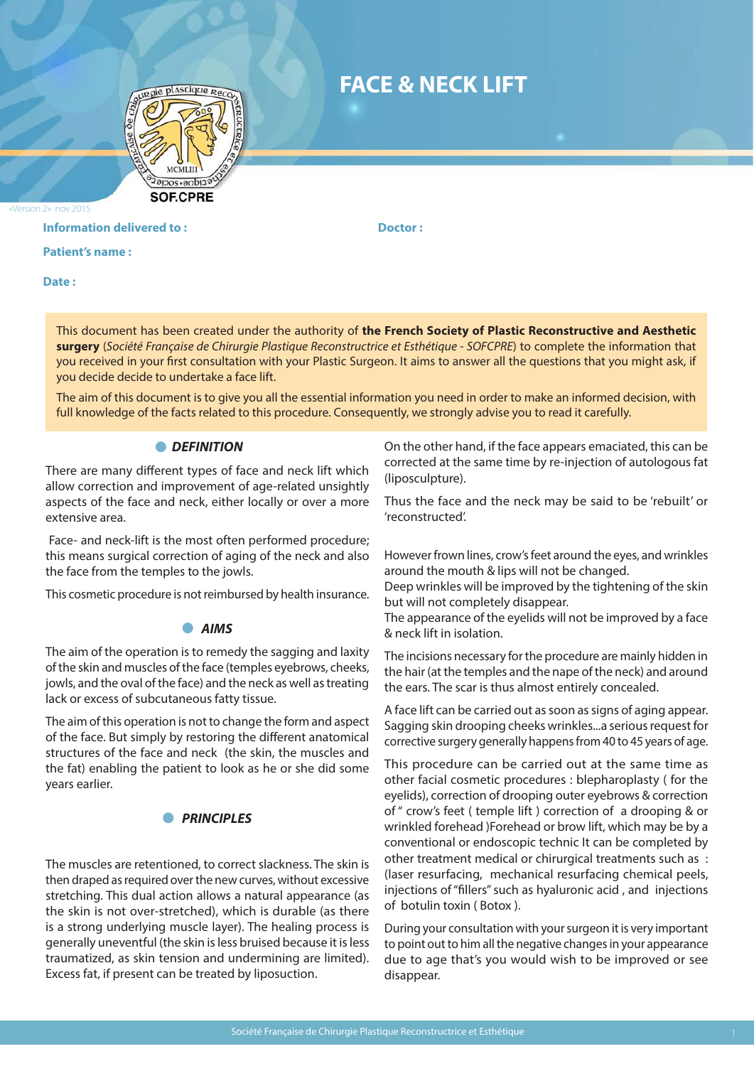

# **FACE & NECK LIFT**

«Version 2» nov 2015

#### **Information delivered to : The Contract Dector : Contract Doctor : Doctor :**

**Patient's name :** 

**Date :** 

This document has been created under the authority of **the French Society of Plastic Reconstructive and Aesthetic surgery** (*Société Française de Chirurgie Plastique Reconstructrice et Esthétique - SOFCPRE*) to complete the information that you received in your first consultation with your Plastic Surgeon. It aims to answer all the questions that you might ask, if you decide decide to undertake a face lift.

The aim of this document is to give you all the essential information you need in order to make an informed decision, with full knowledge of the facts related to this procedure. Consequently, we strongly advise you to read it carefully.

#### **O** DEFINITION

There are many different types of face and neck lift which allow correction and improvement of age-related unsightly aspects of the face and neck, either locally or over a more extensive area.

 Face- and neck-lift is the most often performed procedure; this means surgical correction of aging of the neck and also the face from the temples to the jowls.

This cosmetic procedure is not reimbursed by health insurance.

#### *AIMS*

The aim of the operation is to remedy the sagging and laxity of the skin and muscles of the face (temples eyebrows, cheeks, jowls, and the oval of the face) and the neck as well as treating lack or excess of subcutaneous fatty tissue.

The aim of this operation is not to change the form and aspect of the face. But simply by restoring the different anatomical structures of the face and neck (the skin, the muscles and the fat) enabling the patient to look as he or she did some years earlier.

## **PRINCIPLES**

The muscles are retentioned, to correct slackness. The skin is then draped as required over the new curves, without excessive stretching. This dual action allows a natural appearance (as the skin is not over-stretched), which is durable (as there is a strong underlying muscle layer). The healing process is generally uneventful (the skin is less bruised because it is less traumatized, as skin tension and undermining are limited). Excess fat, if present can be treated by liposuction.

On the other hand, if the face appears emaciated, this can be corrected at the same time by re-injection of autologous fat (liposculpture).

Thus the face and the neck may be said to be 'rebuilt' or 'reconstructed'.

However frown lines, crow's feet around the eyes, and wrinkles around the mouth & lips will not be changed.

Deep wrinkles will be improved by the tightening of the skin but will not completely disappear.

The appearance of the eyelids will not be improved by a face & neck lift in isolation.

The incisions necessary for the procedure are mainly hidden in the hair (at the temples and the nape of the neck) and around the ears. The scar is thus almost entirely concealed.

A face lift can be carried out as soon as signs of aging appear. Sagging skin drooping cheeks wrinkles...a serious request for corrective surgery generally happens from 40 to 45 years of age.

This procedure can be carried out at the same time as other facial cosmetic procedures : blepharoplasty ( for the eyelids), correction of drooping outer eyebrows & correction of " crow's feet ( temple lift ) correction of a drooping & or wrinkled forehead )Forehead or brow lift, which may be by a conventional or endoscopic technic It can be completed by other treatment medical or chirurgical treatments such as : (laser resurfacing, mechanical resurfacing chemical peels, injections of "fillers" such as hyaluronic acid , and injections of botulin toxin ( Botox ).

During your consultation with your surgeon it is very important to point out to him all the negative changes in your appearance due to age that's you would wish to be improved or see disappear.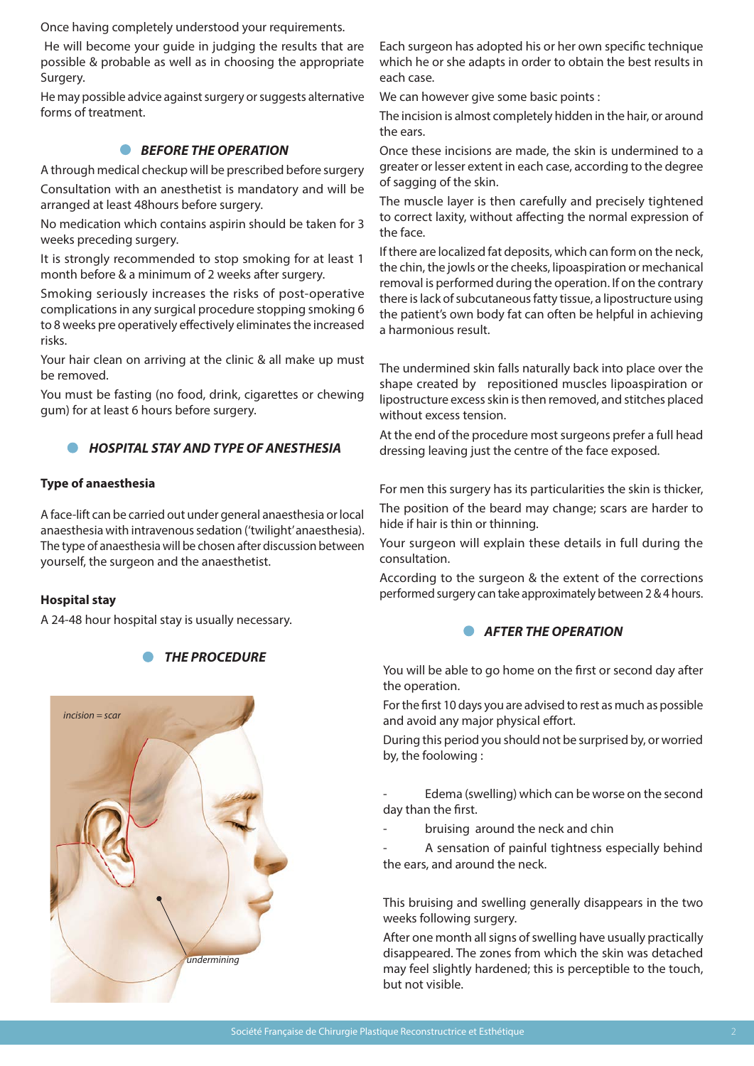Once having completely understood your requirements.

 He will become your guide in judging the results that are possible & probable as well as in choosing the appropriate Surgery.

He may possible advice against surgery or suggests alternative forms of treatment.

## *BEFORE THE OPERATION*

A through medical checkup will be prescribed before surgery Consultation with an anesthetist is mandatory and will be arranged at least 48hours before surgery.

No medication which contains aspirin should be taken for 3 weeks preceding surgery.

It is strongly recommended to stop smoking for at least 1 month before & a minimum of 2 weeks after surgery.

Smoking seriously increases the risks of post-operative complications in any surgical procedure stopping smoking 6 to 8 weeks pre operatively effectively eliminates the increased risks.

Your hair clean on arriving at the clinic & all make up must be removed.

You must be fasting (no food, drink, cigarettes or chewing gum) for at least 6 hours before surgery.

## *HOSPITAL STAY AND TYPE OF ANESTHESIA*

#### **Type of anaesthesia**

A face-lift can be carried out under general anaesthesia or local anaesthesia with intravenous sedation ('twilight' anaesthesia). The type of anaesthesia will be chosen after discussion between yourself, the surgeon and the anaesthetist.

#### **Hospital stay**

A 24-48 hour hospital stay is usually necessary.



*THE PROCEDURE*

Each surgeon has adopted his or her own specific technique which he or she adapts in order to obtain the best results in each case.

We can however give some basic points :

The incision is almost completely hidden in the hair, or around the ears.

Once these incisions are made, the skin is undermined to a greater or lesser extent in each case, according to the degree of sagging of the skin.

The muscle layer is then carefully and precisely tightened to correct laxity, without affecting the normal expression of the face.

If there are localized fat deposits, which can form on the neck, the chin, the jowls or the cheeks, lipoaspiration or mechanical removal is performed during the operation. If on the contrary there is lack of subcutaneous fatty tissue, a lipostructure using the patient's own body fat can often be helpful in achieving a harmonious result.

The undermined skin falls naturally back into place over the shape created by repositioned muscles lipoaspiration or lipostructure excess skin is then removed, and stitches placed without excess tension.

At the end of the procedure most surgeons prefer a full head dressing leaving just the centre of the face exposed.

For men this surgery has its particularities the skin is thicker, The position of the beard may change; scars are harder to hide if hair is thin or thinning.

Your surgeon will explain these details in full during the consultation.

According to the surgeon & the extent of the corrections performed surgery can take approximately between 2 & 4 hours.

# **• AFTER THE OPERATION**

You will be able to go home on the first or second day after the operation.

For the first 10 days you are advised to rest as much as possible and avoid any major physical effort.

During this period you should not be surprised by, or worried by, the foolowing :

Edema (swelling) which can be worse on the second day than the first.

bruising around the neck and chin

A sensation of painful tightness especially behind the ears, and around the neck.

This bruising and swelling generally disappears in the two weeks following surgery.

After one month all signs of swelling have usually practically disappeared. The zones from which the skin was detached may feel slightly hardened; this is perceptible to the touch, but not visible.